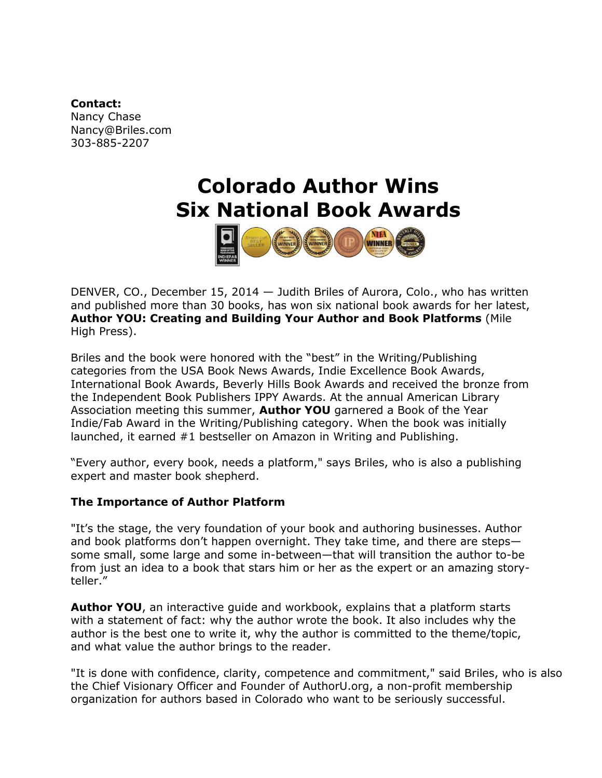### **Contact:**

Nancy Chase Nancy@Briles.com 303-885-2207

# **Colorado Author Wins Six National Book Awards**



DENVER, CO., December 15, 2014 — Judith Briles of Aurora, Colo., who has written and published more than 30 books, has won six national book awards for her latest, **Author YOU: Creating and Building Your Author and Book Platforms** (Mile High Press).

Briles and the book were honored with the "best" in the Writing/Publishing categories from the USA Book News Awards, Indie Excellence Book Awards, International Book Awards, Beverly Hills Book Awards and received the bronze from the Independent Book Publishers IPPY Awards. At the annual American Library Association meeting this summer, **Author YOU** garnered a Book of the Year Indie/Fab Award in the Writing/Publishing category. When the book was initially launched, it earned #1 bestseller on Amazon in Writing and Publishing.

"Every author, every book, needs a platform," says Briles, who is also a publishing expert and master book shepherd.

## **The Importance of Author Platform**

"It's the stage, the very foundation of your book and authoring businesses. Author and book platforms don't happen overnight. They take time, and there are steps some small, some large and some in-between—that will transition the author to-be from just an idea to a book that stars him or her as the expert or an amazing storyteller."

**Author YOU**, an interactive guide and workbook, explains that a platform starts with a statement of fact: why the author wrote the book. It also includes why the author is the best one to write it, why the author is committed to the theme/topic, and what value the author brings to the reader.

"It is done with confidence, clarity, competence and commitment," said Briles, who is also the Chief Visionary Officer and Founder of AuthorU.org, a non-profit membership organization for authors based in Colorado who want to be seriously successful.